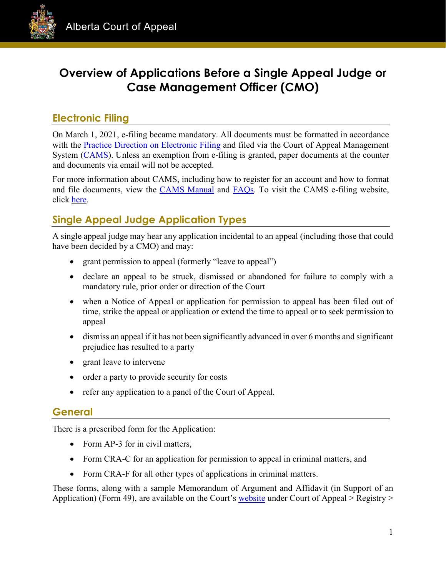

# **Overview of Applications Before a Single Appeal Judge or Case Management Officer (CMO)**

# **Electronic Filing**

On March 1, 2021, e-filing became mandatory. All documents must be formatted in accordance with the [Practice Direction on Electronic Filing](https://cams.albertacourts.ca/public-portal/files/practiceDirection.pdf) and filed via the Court of Appeal Management System [\(CAMS\)](https://cams.albertacourts.ca/public-portal/). Unless an exemption from e-filing is granted, paper documents at the counter and documents via email will not be accepted.

For more information about CAMS, including how to register for an account and how to format and file documents, view the [CAMS Manual](https://cams.albertacourts.ca/public-portal/files/CAMSManual.pdf) and [FAQs.](https://cams.albertacourts.ca/public-portal/files/FAQS.pdf) To visit the CAMS e-filing website, click [here.](https://cams.albertacourts.ca/public-portal/)

# **Single Appeal Judge Application Types**

A single appeal judge may hear any application incidental to an appeal (including those that could have been decided by a CMO) and may:

- grant permission to appeal (formerly "leave to appeal")
- declare an appeal to be struck, dismissed or abandoned for failure to comply with a mandatory rule, prior order or direction of the Court
- when a Notice of Appeal or application for permission to appeal has been filed out of time, strike the appeal or application or extend the time to appeal or to seek permission to appeal
- dismiss an appeal if it has not been significantly advanced in over 6 months and significant prejudice has resulted to a party
- grant leave to intervene
- order a party to provide security for costs
- refer any application to a panel of the Court of Appeal.

#### **General**

There is a prescribed form for the Application:

- Form AP-3 for in civil matters,
- Form CRA-C for an application for permission to appeal in criminal matters, and
- Form CRA-F for all other types of applications in criminal matters.

These forms, along with a sample Memorandum of Argument and Affidavit (in Support of an Application) (Form 49), are available on the Court's [website](https://www.albertacourts.ca/ca/home) under Court of Appeal > Registry >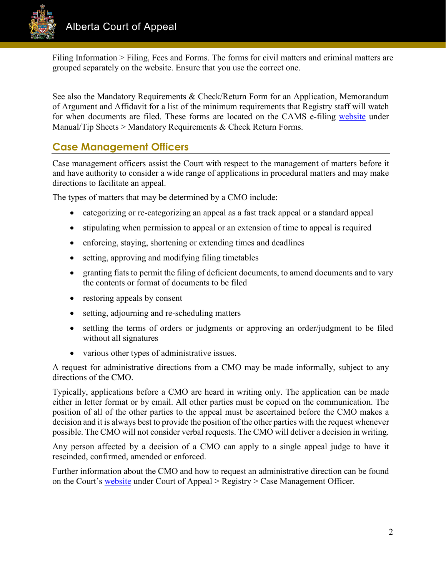

Filing Information > Filing, Fees and Forms. The forms for civil matters and criminal matters are grouped separately on the website. Ensure that you use the correct one.

See also the Mandatory Requirements & Check/Return Form for an Application, Memorandum of Argument and Affidavit for a list of the minimum requirements that Registry staff will watch for when documents are filed. These forms are located on the CAMS e-filing [website](https://cams.albertacourts.ca/public-portal/) under Manual/Tip Sheets > Mandatory Requirements & Check Return Forms.

# **Case Management Officers**

Case management officers assist the Court with respect to the management of matters before it and have authority to consider a wide range of applications in procedural matters and may make directions to facilitate an appeal.

The types of matters that may be determined by a CMO include:

- categorizing or re-categorizing an appeal as a fast track appeal or a standard appeal
- stipulating when permission to appeal or an extension of time to appeal is required
- enforcing, staying, shortening or extending times and deadlines
- setting, approving and modifying filing timetables
- granting fiats to permit the filing of deficient documents, to amend documents and to vary the contents or format of documents to be filed
- restoring appeals by consent
- setting, adjourning and re-scheduling matters
- settling the terms of orders or judgments or approving an order/judgment to be filed without all signatures
- various other types of administrative issues.

A request for administrative directions from a CMO may be made informally, subject to any directions of the CMO.

Typically, applications before a CMO are heard in writing only. The application can be made either in letter format or by email. All other parties must be copied on the communication. The position of all of the other parties to the appeal must be ascertained before the CMO makes a decision and it is always best to provide the position of the other parties with the request whenever possible. The CMO will not consider verbal requests. The CMO will deliver a decision in writing.

Any person affected by a decision of a CMO can apply to a single appeal judge to have it rescinded, confirmed, amended or enforced.

Further information about the CMO and how to request an administrative direction can be found on the Court's [website](https://www.albertacourts.ca/ca/home) under Court of Appeal > Registry > Case Management Officer.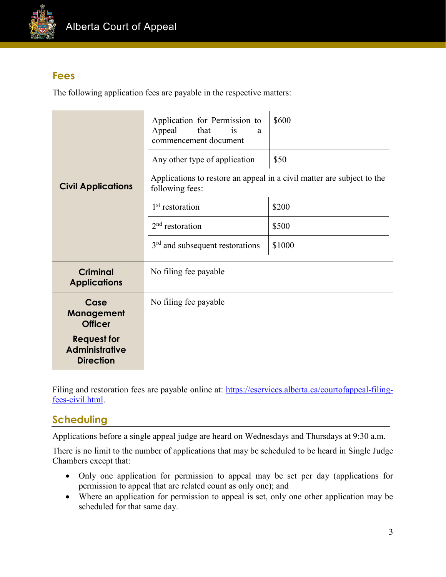

### **Fees**

The following application fees are payable in the respective matters:

|                                                                 | Application for Permission to<br>Appeal<br>that<br>is<br>a.<br>commencement document<br>Any other type of application | \$600<br>\$50 |  |
|-----------------------------------------------------------------|-----------------------------------------------------------------------------------------------------------------------|---------------|--|
| <b>Civil Applications</b>                                       | Applications to restore an appeal in a civil matter are subject to the<br>following fees:                             |               |  |
|                                                                 | $1st$ restoration                                                                                                     | \$200         |  |
|                                                                 | $2nd$ restoration                                                                                                     | \$500         |  |
|                                                                 | $3rd$ and subsequent restorations                                                                                     | \$1000        |  |
| <b>Criminal</b><br><b>Applications</b>                          | No filing fee payable                                                                                                 |               |  |
| Case<br>Management<br><b>Officer</b>                            | No filing fee payable                                                                                                 |               |  |
| <b>Request for</b><br><b>Administrative</b><br><b>Direction</b> |                                                                                                                       |               |  |

Filing and restoration fees are payable online at: [https://eservices.alberta.ca/courtofappeal-filing](https://eservices.alberta.ca/courtofappeal-filing-fees-civil.html)[fees-civil.html.](https://eservices.alberta.ca/courtofappeal-filing-fees-civil.html)

## **Scheduling**

Applications before a single appeal judge are heard on Wednesdays and Thursdays at 9:30 a.m.

There is no limit to the number of applications that may be scheduled to be heard in Single Judge Chambers except that:

- Only one application for permission to appeal may be set per day (applications for permission to appeal that are related count as only one); and
- Where an application for permission to appeal is set, only one other application may be scheduled for that same day.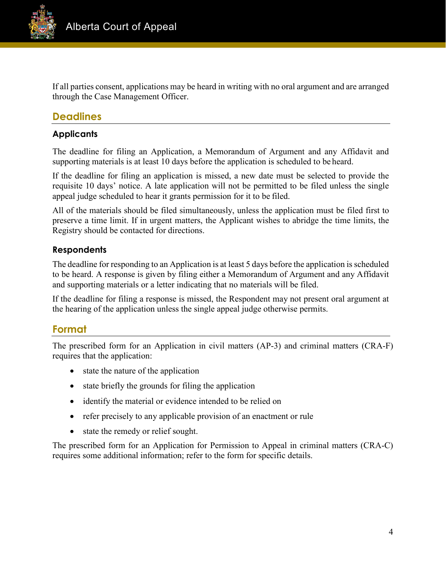

If all parties consent, applications may be heard in writing with no oral argument and are arranged through the Case Management Officer.

# **Deadlines**

#### **Applicants**

The deadline for filing an Application, a Memorandum of Argument and any Affidavit and supporting materials is at least 10 days before the application is scheduled to be heard.

If the deadline for filing an application is missed, a new date must be selected to provide the requisite 10 days' notice. A late application will not be permitted to be filed unless the single appeal judge scheduled to hear it grants permission for it to be filed.

All of the materials should be filed simultaneously, unless the application must be filed first to preserve a time limit. If in urgent matters, the Applicant wishes to abridge the time limits, the Registry should be contacted for directions.

#### **Respondents**

The deadline for responding to an Application is at least 5 days before the application is scheduled to be heard. A response is given by filing either a Memorandum of Argument and any Affidavit and supporting materials or a letter indicating that no materials will be filed.

If the deadline for filing a response is missed, the Respondent may not present oral argument at the hearing of the application unless the single appeal judge otherwise permits.

#### **Format**

The prescribed form for an Application in civil matters (AP-3) and criminal matters (CRA-F) requires that the application:

- state the nature of the application
- state briefly the grounds for filing the application
- identify the material or evidence intended to be relied on
- refer precisely to any applicable provision of an enactment or rule
- state the remedy or relief sought.

The prescribed form for an Application for Permission to Appeal in criminal matters (CRA-C) requires some additional information; refer to the form for specific details.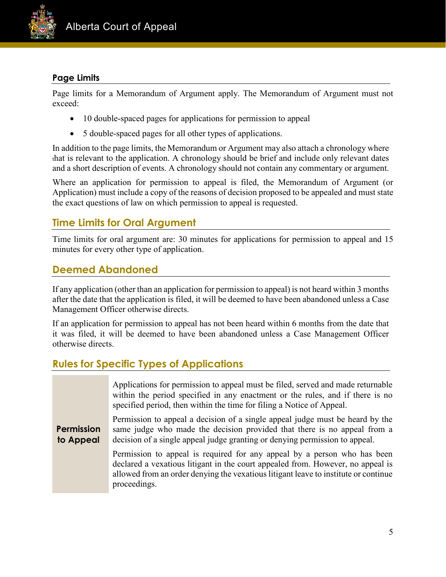

#### **Page Limits**

Page limits for a Memorandum of Argument apply. The Memorandum of Argument must not exceed:

- 10 double-spaced pages for applications for permission to appeal
- 5 double-spaced pages for all other types of applications.

In addition to the page limits, the Memorandum or Argument may also attach a chronology where that is relevant to the application. A chronology should be brief and include only relevant dates and a short description of events. A chronology should not contain any commentary or argument.

Where an application for permission to appeal is filed, the Memorandum of Argument (or Application) must include a copy of the reasons of decision proposed to be appealed and must state the exact questions of law on which permission to appeal is requested.

# **Time Limits for Oral Argument**

Time limits for oral argument are: 30 minutes for applications for permission to appeal and 15 minutes for every other type of application.

### **Deemed Abandoned**

If any application (other than an application for permission to appeal) is not heard within 3 months after the date that the application is filed, it will be deemed to have been abandoned unless a Case Management Officer otherwise directs.

If an application for permission to appeal has not been heard within 6 months from the date that it was filed, it will be deemed to have been abandoned unless a Case Management Officer otherwise directs.

## **Rules for Specific Types of Applications**

|                                | Applications for permission to appeal must be filed, served and made returnable<br>within the period specified in any enactment or the rules, and if there is no<br>specified period, then within the time for filing a Notice of Appeal.                          |
|--------------------------------|--------------------------------------------------------------------------------------------------------------------------------------------------------------------------------------------------------------------------------------------------------------------|
| <b>Permission</b><br>to Appeal | Permission to appeal a decision of a single appeal judge must be heard by the<br>same judge who made the decision provided that there is no appeal from a<br>decision of a single appeal judge granting or denying permission to appeal.                           |
|                                | Permission to appeal is required for any appeal by a person who has been<br>declared a vexatious litigant in the court appealed from. However, no appeal is<br>allowed from an order denying the vexatious litigant leave to institute or continue<br>proceedings. |